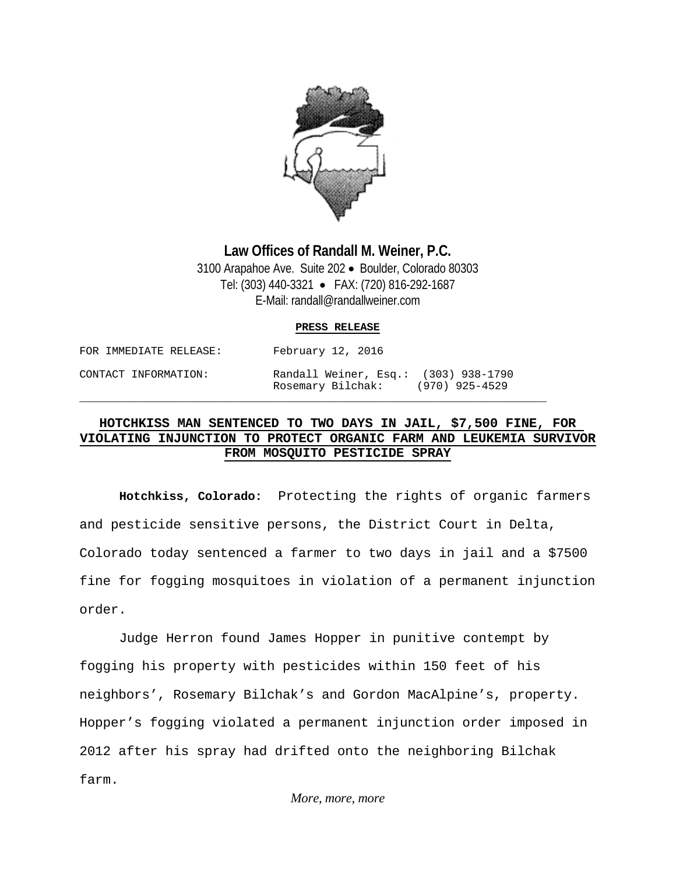

## **Law Offices of Randall M. Weiner, P.C.** 3100 Arapahoe Ave. Suite 202 • Boulder, Colorado 80303

Tel: (303) 440-3321 • FAX: (720) 816-292-1687 E-Mail: randall@randallweiner.com

## **PRESS RELEASE**

| FOR IMMEDIATE RELEASE: | February 12, 2016                                         |                  |
|------------------------|-----------------------------------------------------------|------------------|
| CONTACT INFORMATION:   | Randall Weiner, Esq.: (303) 938-1790<br>Rosemary Bilchak: | $(970)$ 925-4529 |

\_\_\_\_\_\_\_\_\_\_\_\_\_\_\_\_\_\_\_\_\_\_\_\_\_\_\_\_\_\_\_\_\_\_\_\_\_\_\_\_\_\_\_\_\_\_\_\_\_\_\_\_\_\_\_\_\_\_\_\_\_\_\_\_\_\_\_\_\_\_\_\_

## **HOTCHKISS MAN SENTENCED TO TWO DAYS IN JAIL, \$7,500 FINE, FOR VIOLATING INJUNCTION TO PROTECT ORGANIC FARM AND LEUKEMIA SURVIVOR FROM MOSQUITO PESTICIDE SPRAY**

**Hotchkiss, Colorado:** Protecting the rights of organic farmers and pesticide sensitive persons, the District Court in Delta, Colorado today sentenced a farmer to two days in jail and a \$7500 fine for fogging mosquitoes in violation of a permanent injunction order.

Judge Herron found James Hopper in punitive contempt by fogging his property with pesticides within 150 feet of his neighbors', Rosemary Bilchak's and Gordon MacAlpine's, property. Hopper's fogging violated a permanent injunction order imposed in 2012 after his spray had drifted onto the neighboring Bilchak farm.